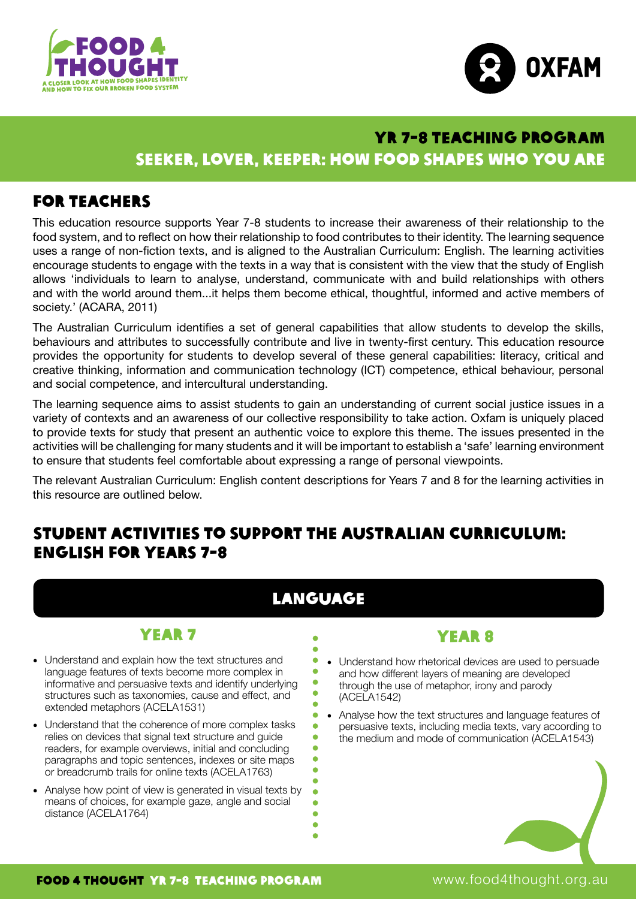



## at those states in the seeker, lover, keeper: how food shapes who you are YR 7-8 TEACHING PROGRAM

# For teachers

This education resource supports Year 7-8 students to increase their awareness of their relationship to the food system, and to reflect on how their relationship to food contributes to their identity. The learning sequence uses a range of non-fiction texts, and is aligned to the Australian Curriculum: English. The learning activities encourage students to engage with the texts in a way that is consistent with the view that the study of English allows 'individuals to learn to analyse, understand, communicate with and build relationships with others and with the world around them...it helps them become ethical, thoughtful, informed and active members of society.' (ACARA, 2011)

The Australian Curriculum identifies a set of general capabilities that allow students to develop the skills, behaviours and attributes to successfully contribute and live in twenty-first century. This education resource provides the opportunity for students to develop several of these general capabilities: literacy, critical and creative thinking, information and communication technology (ICT) competence, ethical behaviour, personal and social competence, and intercultural understanding.

The learning sequence aims to assist students to gain an understanding of current social justice issues in a variety of contexts and an awareness of our collective responsibility to take action. Oxfam is uniquely placed to provide texts for study that present an authentic voice to explore this theme. The issues presented in the activities will be challenging for many students and it will be important to establish a 'safe' learning environment to ensure that students feel comfortable about expressing a range of personal viewpoints.

The relevant Australian Curriculum: English content descriptions for Years 7 and 8 for the learning activities in this resource are outlined below.

# Student activities to support the Australian Curriculum: English for Years 7-8

# Language

Ä ä  $\bullet$  $\bullet$  $\bullet$ 

ä  $\bullet$ ä ä  $\bullet$  $\bullet$ ŏ ä  $\bullet$ ä  $\bullet$  $\bullet$ 

# Year 7

- Understand and explain how the text structures and language features of texts become more complex in informative and persuasive texts and identify underlying structures such as taxonomies, cause and effect, and extended metaphors (ACELA1531)
- Understand that the coherence of more complex tasks relies on devices that signal text structure and guide readers, for example overviews, initial and concluding paragraphs and topic sentences, indexes or site maps or breadcrumb trails for online texts (ACELA1763)
- Analyse how point of view is generated in visual texts by means of choices, for example gaze, angle and social distance (ACELA1764)

### YFAR 8

- Understand how rhetorical devices are used to persuade and how different layers of meaning are developed through the use of metaphor, irony and parody (ACELA1542)
- Analyse how the text structures and language features of persuasive texts, including media texts, vary according to the medium and mode of communication (ACELA1543)